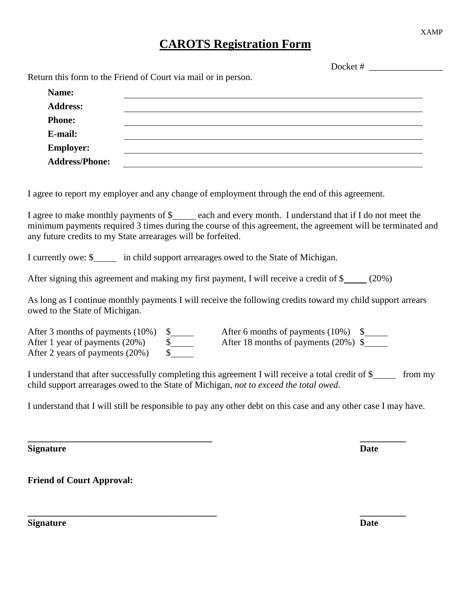## **CAROTS Registration Form**

|                                                                | Docket $#$ |
|----------------------------------------------------------------|------------|
| Return this form to the Friend of Court via mail or in person. |            |
| Name:                                                          |            |
| <b>Address:</b>                                                |            |
| <b>Phone:</b>                                                  |            |
| E-mail:                                                        |            |
| <b>Employer:</b>                                               |            |
| <b>Address/Phone:</b>                                          |            |

I agree to report my employer and any change of employment through the end of this agreement.

I agree to make monthly payments of \$\_\_\_\_\_ each and every month. I understand that if I do not meet the minimum payments required 3 times during the course of this agreement, the agreement will be terminated and any future credits to my State arrearages will be forfeited.

I currently owe: \$<br>in child support arrearages owed to the State of Michigan.

After signing this agreement and making my first payment, I will receive a credit of \$ (20%)

As long as I continue monthly payments I will receive the following credits toward my child support arrears owed to the State of Michigan.

| After 1 year of payments (20%)  | After 18 months of payments $(20\%)$ \$ |  |
|---------------------------------|-----------------------------------------|--|
| After 2 years of payments (20%) |                                         |  |

I understand that after successfully completing this agreement I will receive a total credit of \$ from my child support arrearages owed to the State of Michigan, *not to exceed the total owed*.

I understand that I will still be responsible to pay any other debt on this case and any other case I may have.

**\_\_\_\_\_\_\_\_\_\_\_\_\_\_\_\_\_\_\_\_\_\_\_\_\_\_\_\_\_\_\_\_\_\_\_\_\_\_\_\_ \_\_\_\_\_\_\_\_\_\_**

**\_\_\_\_\_\_\_\_\_\_\_\_\_\_\_\_\_\_\_\_\_\_\_\_\_\_\_\_\_\_\_\_\_\_\_\_\_\_\_\_\_ \_\_\_\_\_\_\_\_\_\_**

**Signature Date**

**Friend of Court Approval:**

**Signature Date**